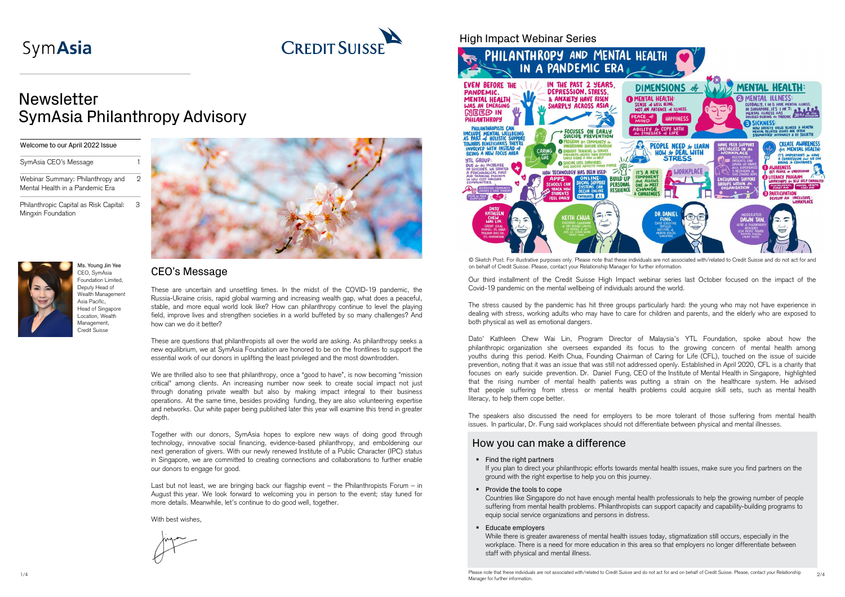### CEO's Message

These are uncertain and unsettling times. In the midst of the COVID-19 pandemic, the Russia-Ukraine crisis, rapid global warming and increasing wealth gap, what does a peaceful, stable, and more equal world look like? How can philanthropy continue to level the playing field, improve lives and strengthen societies in a world buffeted by so many challenges? And how can we do it better?

These are questions that philanthropists all over the world are asking. As philanthropy seeks a new equilibrium, we at SymAsia Foundation are honored to be on the frontlines to support the essential work of our donors in uplifting the least privileged and the most downtrodden.

We are thrilled also to see that philanthropy, once a "good to have", is now becoming "mission critical" among clients. An increasing number now seek to create social impact not just through donating private wealth but also by making impact integral to their business operations. At the same time, besides providing funding, they are also volunteering expertise and networks. Our white paper being published later this year will examine this trend in greater depth.

### Welcome to our April 2022 Issue SymAsia CEO's Message 1 Webinar Summary: Philanthropy and Mental Health in a Pandemic Era Philanthropic Capital as Risk Capital: Minaxin Foundation



# SymAsia



## **Newsletter** SymAsia Philanthropy Advisory

Together with our donors, SymAsia hopes to explore new ways of doing good through technology, innovative social financing, evidence-based philanthropy, and emboldening our next generation of givers. With our newly renewed Institute of a Public Character (IPC) status in Singapore, we are committed to creating connections and collaborations to further enable our donors to engage for good.

Last but not least, we are bringing back our flagship event – the Philanthropists Forum – in August this year. We look forward to welcoming you in person to the event; stay tuned for more details. Meanwhile, let's continue to do good well, together.

With best wishes.



Ms. Young Jin Yee CEO, SymAsia Foundation Limited, Deputy Head of Wealth Managemen Asia Pacific, Head of Singapore Location, Wealth Management, Credit Suisse

### High Impact Webinar Series

If you plan to direct your philanthropic efforts towards mental health issues, make sure you find partners on the ground with the right expertise to help you on this journey.

- **Provide the tools to cope** equip social service organizations and persons in distress.
- **Educate employers**

 $_{1/4}$   $_{1/4}$   $_{2/4}$ Manager for further information.

Countries like Singapore do not have enough mental health professionals to help the growing number of people suffering from mental health problems. Philanthropists can support capacity and capability-building programs to

While there is greater awareness of mental health issues today, stigmatization still occurs, especially in the workplace. There is a need for more education in this area so that employers no longer differentiate between staff with physical and mental illness.



© Sketch Post. For illustrative purposes only. Please note that these individuals are not associated with/related to Credit Suisse and do not act for and on behalf of Credit Suisse. Please, contact your Relationship Manager for further information.

Our third installment of the Credit Suisse High Impact webinar series last October focused on the impact of the Covid-19 pandemic on the mental wellbeing of individuals around the world.

The stress caused by the pandemic has hit three groups particularly hard: the young who may not have experience in dealing with stress, working adults who may have to care for children and parents, and the elderly who are exposed to both physical as well as emotional dangers.

Dato' Kathleen Chew Wai Lin, Program Director of Malaysia's YTL Foundation, spoke about how the philanthropic organization she oversees expanded its focus to the growing concern of mental health among youths during this period. Keith Chua, Founding Chairman of Caring for Life (CFL), touched on the issue of suicide prevention, noting that it was an issue that was still not addressed openly. Established in April 2020, CFL is a charity that focuses on early suicide prevention. Dr. Daniel Fung, CEO of the Institute of Mental Health in Singapore, highlighted that the rising number of mental health patients was putting a strain on the healthcare system. He advised that people suffering from stress or mental health problems could acquire skill sets, such as mental health literacy, to help them cope better.

The speakers also discussed the need for employers to be more tolerant of those suffering from mental health issues. In particular, Dr. Fung said workplaces should not differentiate between physical and mental illnesses.

### How you can make a difference

• Find the right partners